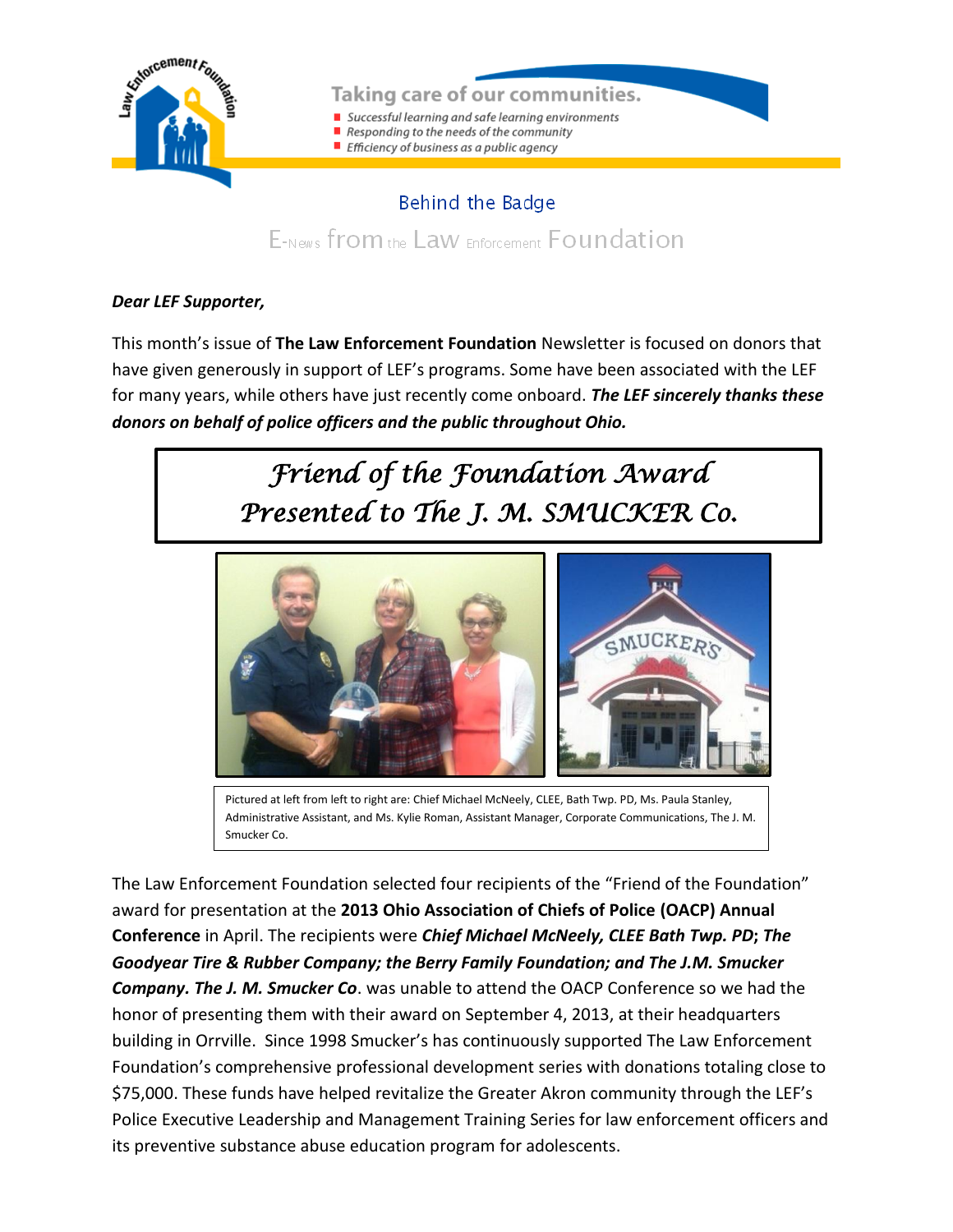

#### Taking care of our communities.

- Successful learning and safe learning environments
- Responding to the needs of the community
- Efficiency of business as a public agency

### Behind the Badge

E-News from the Law Enforcement Foundation

#### *Dear LEF Supporter,*

This month's issue of **The Law Enforcement Foundation** Newsletter is focused on donors that have given generously in support of LEF's programs. Some have been associated with the LEF for many years, while others have just recently come onboard. *The LEF sincerely thanks these donors on behalf of police officers and the public throughout Ohio.*

# *Friend of the Foundation Award Presented to The J. M. SMUCKER Co.*



Pictured at left from left to right are: Chief Michael McNeely, CLEE, Bath Twp. PD, Ms. Paula Stanley, Administrative Assistant, and Ms. Kylie Roman, Assistant Manager, Corporate Communications, The J. M. Smucker Co.

The Law Enforcement Foundation selected four recipients of the "Friend of the Foundation" award for presentation at the **2013 Ohio Association of Chiefs of Police (OACP) Annual Conference** in April. The recipients were *Chief Michael McNeely, CLEE Bath Twp. PD***;** *The Goodyear Tire & Rubber Company; the Berry Family Foundation; and The J.M. Smucker Company. The J. M. Smucker Co*. was unable to attend the OACP Conference so we had the honor of presenting them with their award on September 4, 2013, at their headquarters building in Orrville. Since 1998 Smucker's has continuously supported The Law Enforcement Foundation's comprehensive professional development series with donations totaling close to \$75,000. These funds have helped revitalize the Greater Akron community through the LEF's Police Executive Leadership and Management Training Series for law enforcement officers and its preventive substance abuse education program for adolescents.